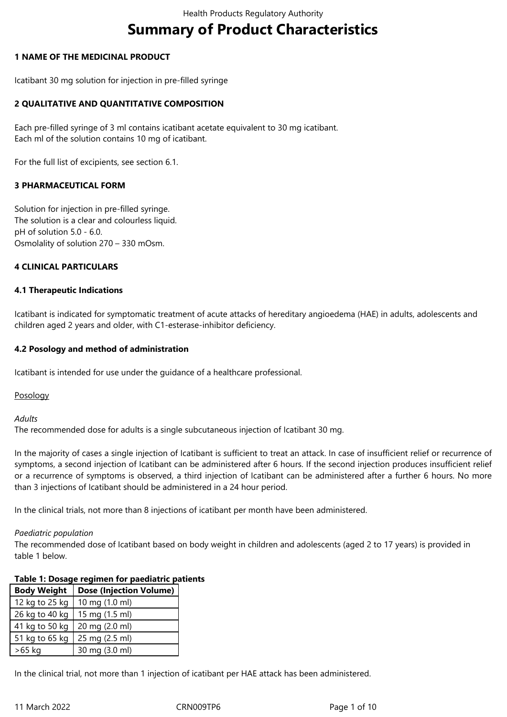# **Summary of Product Characteristics**

#### **1 NAME OF THE MEDICINAL PRODUCT**

Icatibant 30 mg solution for injection in pre-filled syringe

#### **2 QUALITATIVE AND QUANTITATIVE COMPOSITION**

Each pre-filled syringe of 3 ml contains icatibant acetate equivalent to 30 mg icatibant. Each ml of the solution contains 10 mg of icatibant.

For the full list of excipients, see section 6.1.

#### **3 PHARMACEUTICAL FORM**

Solution for injection in pre-filled syringe. The solution is a clear and colourless liquid. pH of solution 5.0 - 6.0. Osmolality of solution 270 – 330 mOsm.

#### **4 CLINICAL PARTICULARS**

#### **4.1 Therapeutic Indications**

Icatibant is indicated for symptomatic treatment of acute attacks of hereditary angioedema (HAE) in adults, adolescents and children aged 2 years and older, with C1-esterase-inhibitor deficiency.

#### **4.2 Posology and method of administration**

Icatibant is intended for use under the guidance of a healthcare professional.

Posology

#### *Adults*

The recommended dose for adults is a single subcutaneous injection of Icatibant 30 mg.

In the majority of cases a single injection of Icatibant is sufficient to treat an attack. In case of insufficient relief or recurrence of symptoms, a second injection of Icatibant can be administered after 6 hours. If the second injection produces insufficient relief or a recurrence of symptoms is observed, a third injection of Icatibant can be administered after a further 6 hours. No more than 3 injections of Icatibant should be administered in a 24 hour period.

In the clinical trials, not more than 8 injections of icatibant per month have been administered.

# *Paediatric population*

The recommended dose of Icatibant based on body weight in children and adolescents (aged 2 to 17 years) is provided in table 1 below.

## **Table 1: Dosage regimen for paediatric patients**

| <b>Body Weight</b> | <b>Dose (Injection Volume)</b> |
|--------------------|--------------------------------|
| 12 kg to 25 kg     | 10 mg (1.0 ml)                 |
| 26 kg to 40 kg     | 15 mg (1.5 ml)                 |
| 41 kg to 50 kg     | 20 mg (2.0 ml)                 |
| 51 kg to 65 kg     | 25 mg (2.5 ml)                 |
| >65 kg             | 30 mg (3.0 ml)                 |

In the clinical trial, not more than 1 injection of icatibant per HAE attack has been administered.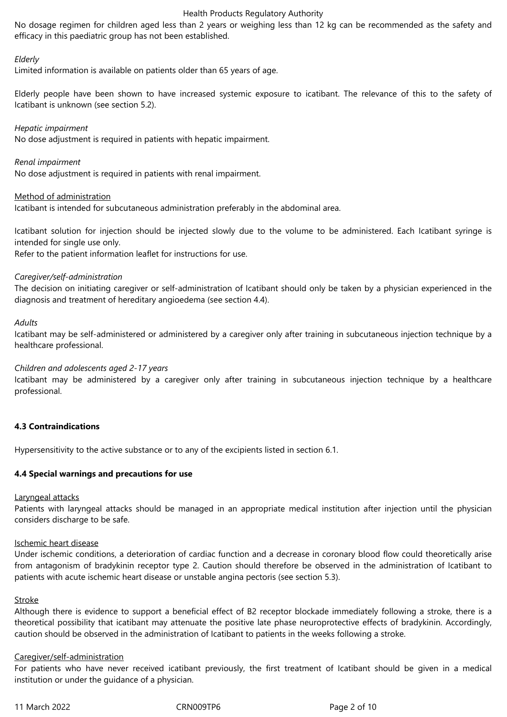No dosage regimen for children aged less than 2 years or weighing less than 12 kg can be recommended as the safety and efficacy in this paediatric group has not been established.

#### *Elderly*

Limited information is available on patients older than 65 years of age.

Elderly people have been shown to have increased systemic exposure to icatibant. The relevance of this to the safety of Icatibant is unknown (see section 5.2).

#### *Hepatic impairment*

No dose adjustment is required in patients with hepatic impairment.

*Renal impairment*

No dose adjustment is required in patients with renal impairment.

#### Method of administration

Icatibant is intended for subcutaneous administration preferably in the abdominal area.

Icatibant solution for injection should be injected slowly due to the volume to be administered. Each Icatibant syringe is intended for single use only.

Refer to the patient information leaflet for instructions for use.

#### *Caregiver/self-administration*

The decision on initiating caregiver or self-administration of Icatibant should only be taken by a physician experienced in the diagnosis and treatment of hereditary angioedema (see section 4.4).

#### *Adults*

Icatibant may be self-administered or administered by a caregiver only after training in subcutaneous injection technique by a healthcare professional.

#### *Children and adolescents aged 2-17 years*

Icatibant may be administered by a caregiver only after training in subcutaneous injection technique by a healthcare professional.

## **4.3 Contraindications**

Hypersensitivity to the active substance or to any of the excipients listed in section 6.1.

#### **4.4 Special warnings and precautions for use**

#### Laryngeal attacks

Patients with laryngeal attacks should be managed in an appropriate medical institution after injection until the physician considers discharge to be safe.

#### Ischemic heart disease

Under ischemic conditions, a deterioration of cardiac function and a decrease in coronary blood flow could theoretically arise from antagonism of bradykinin receptor type 2. Caution should therefore be observed in the administration of Icatibant to patients with acute ischemic heart disease or unstable angina pectoris (see section 5.3).

#### **Stroke**

Although there is evidence to support a beneficial effect of B2 receptor blockade immediately following a stroke, there is a theoretical possibility that icatibant may attenuate the positive late phase neuroprotective effects of bradykinin. Accordingly, caution should be observed in the administration of Icatibant to patients in the weeks following a stroke.

#### Caregiver/self-administration

For patients who have never received icatibant previously, the first treatment of Icatibant should be given in a medical institution or under the guidance of a physician.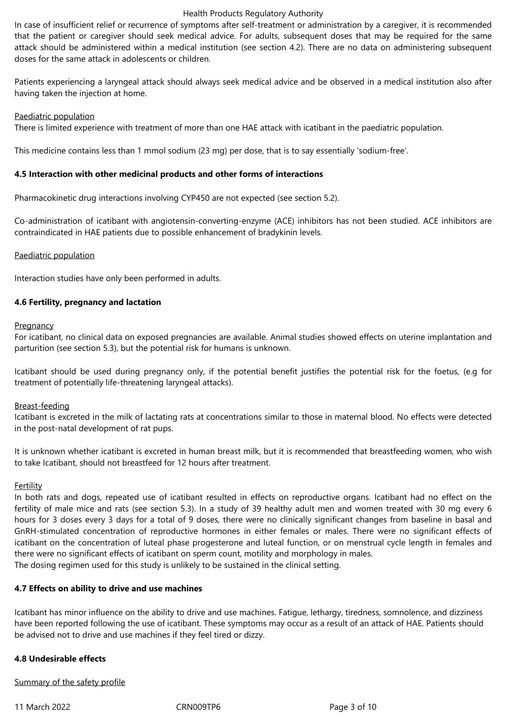In case of insufficient relief or recurrence of symptoms after self-treatment or administration by a caregiver, it is recommended that the patient or caregiver should seek medical advice. For adults, subsequent doses that may be required for the same attack should be administered within a medical institution (see section 4.2). There are no data on administering subsequent doses for the same attack in adolescents or children.

Patients experiencing a laryngeal attack should always seek medical advice and be observed in a medical institution also after having taken the injection at home.

#### Paediatric population

There is limited experience with treatment of more than one HAE attack with icatibant in the paediatric population.

This medicine contains less than 1 mmol sodium (23 mg) per dose, that is to say essentially 'sodium-free'.

#### **4.5 Interaction with other medicinal products and other forms of interactions**

Pharmacokinetic drug interactions involving CYP450 are not expected (see section 5.2).

Co-administration of icatibant with angiotensin-converting-enzyme (ACE) inhibitors has not been studied. ACE inhibitors are contraindicated in HAE patients due to possible enhancement of bradykinin levels.

#### Paediatric population

Interaction studies have only been performed in adults.

#### **4.6 Fertility, pregnancy and lactation**

#### **Pregnancy**

For icatibant, no clinical data on exposed pregnancies are available. Animal studies showed effects on uterine implantation and parturition (see section 5.3), but the potential risk for humans is unknown.

Icatibant should be used during pregnancy only, if the potential benefit justifies the potential risk for the foetus, (e.g for treatment of potentially life-threatening laryngeal attacks).

#### Breast-feeding

Icatibant is excreted in the milk of lactating rats at concentrations similar to those in maternal blood. No effects were detected in the post-natal development of rat pups.

It is unknown whether icatibant is excreted in human breast milk, but it is recommended that breastfeeding women, who wish to take Icatibant, should not breastfeed for 12 hours after treatment.

#### **Fertility**

In both rats and dogs, repeated use of icatibant resulted in effects on reproductive organs. Icatibant had no effect on the fertility of male mice and rats (see section 5.3). In a study of 39 healthy adult men and women treated with 30 mg every 6 hours for 3 doses every 3 days for a total of 9 doses, there were no clinically significant changes from baseline in basal and GnRH-stimulated concentration of reproductive hormones in either females or males. There were no significant effects of icatibant on the concentration of luteal phase progesterone and luteal function, or on menstrual cycle length in females and there were no significant effects of icatibant on sperm count, motility and morphology in males. The dosing regimen used for this study is unlikely to be sustained in the clinical setting.

#### **4.7 Effects on ability to drive and use machines**

Icatibant has minor influence on the ability to drive and use machines. Fatigue, lethargy, tiredness, somnolence, and dizziness have been reported following the use of icatibant. These symptoms may occur as a result of an attack of HAE. Patients should be advised not to drive and use machines if they feel tired or dizzy.

## **4.8 Undesirable effects**

#### Summary of the safety profile

11 March 2022 CRN009TP6 Page 3 of 10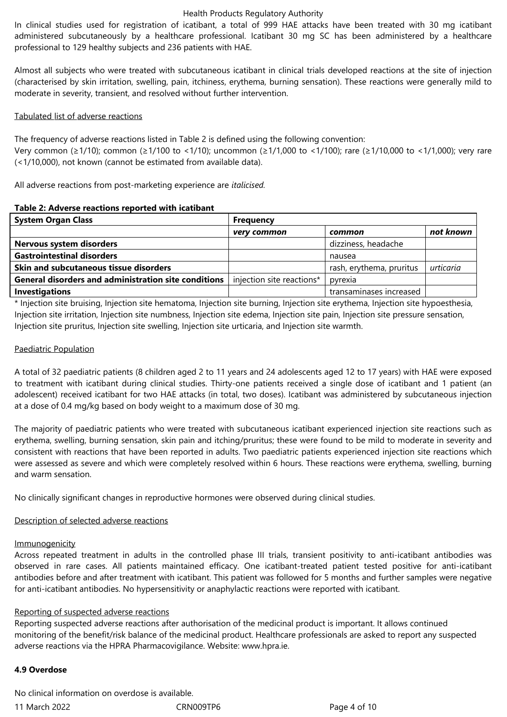In clinical studies used for registration of icatibant, a total of 999 HAE attacks have been treated with 30 mg icatibant administered subcutaneously by a healthcare professional. Icatibant 30 mg SC has been administered by a healthcare professional to 129 healthy subjects and 236 patients with HAE.

Almost all subjects who were treated with subcutaneous icatibant in clinical trials developed reactions at the site of injection (characterised by skin irritation, swelling, pain, itchiness, erythema, burning sensation). These reactions were generally mild to moderate in severity, transient, and resolved without further intervention.

#### Tabulated list of adverse reactions

The frequency of adverse reactions listed in Table 2 is defined using the following convention: Very common (≥1/10); common (≥1/100 to <1/10); uncommon (≥1/1,000 to <1/100); rare (≥1/10,000 to <1/1,000); very rare (<1/10,000), not known (cannot be estimated from available data).

All adverse reactions from post-marketing experience are *italicised.*

#### **Table 2: Adverse reactions reported with icatibant**

| <b>System Organ Class</b>                                   | <b>Frequency</b>          |                          |           |  |  |
|-------------------------------------------------------------|---------------------------|--------------------------|-----------|--|--|
|                                                             | very common               | common                   | not known |  |  |
| <b>Nervous system disorders</b>                             |                           | dizziness, headache      |           |  |  |
| <b>Gastrointestinal disorders</b>                           |                           | nausea                   |           |  |  |
| <b>Skin and subcutaneous tissue disorders</b>               |                           | rash, erythema, pruritus | urticaria |  |  |
| <b>General disorders and administration site conditions</b> | injection site reactions* | pyrexia                  |           |  |  |
| <b>Investigations</b>                                       |                           | transaminases increased  |           |  |  |

\* Injection site bruising, Injection site hematoma, Injection site burning, Injection site erythema, Injection site hypoesthesia, Injection site irritation, Injection site numbness, Injection site edema, Injection site pain, Injection site pressure sensation, Injection site pruritus, Injection site swelling, Injection site urticaria, and Injection site warmth.

## Paediatric Population

A total of 32 paediatric patients (8 children aged 2 to 11 years and 24 adolescents aged 12 to 17 years) with HAE were exposed to treatment with icatibant during clinical studies. Thirty-one patients received a single dose of icatibant and 1 patient (an adolescent) received icatibant for two HAE attacks (in total, two doses). Icatibant was administered by subcutaneous injection at a dose of 0.4 mg/kg based on body weight to a maximum dose of 30 mg.

The majority of paediatric patients who were treated with subcutaneous icatibant experienced injection site reactions such as erythema, swelling, burning sensation, skin pain and itching/pruritus; these were found to be mild to moderate in severity and consistent with reactions that have been reported in adults. Two paediatric patients experienced injection site reactions which were assessed as severe and which were completely resolved within 6 hours. These reactions were erythema, swelling, burning and warm sensation.

No clinically significant changes in reproductive hormones were observed during clinical studies.

## Description of selected adverse reactions

#### **Immunogenicity**

Across repeated treatment in adults in the controlled phase III trials, transient positivity to anti-icatibant antibodies was observed in rare cases. All patients maintained efficacy. One icatibant-treated patient tested positive for anti-icatibant antibodies before and after treatment with icatibant. This patient was followed for 5 months and further samples were negative for anti-icatibant antibodies. No hypersensitivity or anaphylactic reactions were reported with icatibant.

#### Reporting of suspected adverse reactions

Reporting suspected adverse reactions after authorisation of the medicinal product is important. It allows continued monitoring of the benefit/risk balance of the medicinal product. Healthcare professionals are asked to report any suspected adverse reactions via the HPRA Pharmacovigilance. Website: www.hpra.ie.

#### **4.9 Overdose**

No clinical information on overdose is available.

11 March 2022 CRN009TP6 Page 4 of 10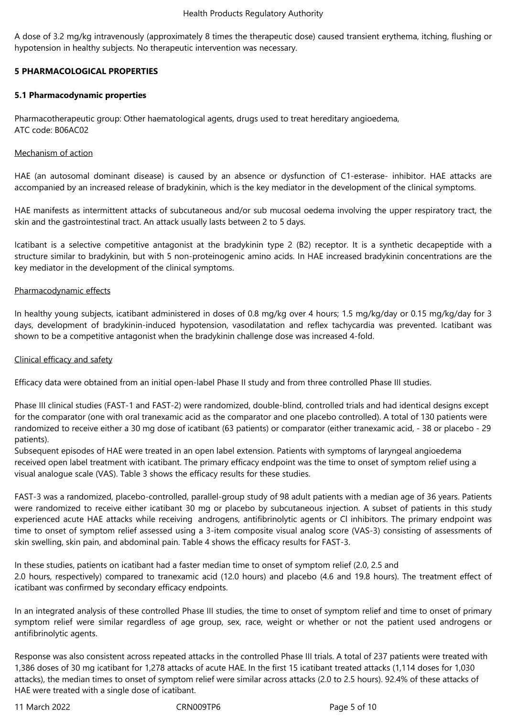A dose of 3.2 mg/kg intravenously (approximately 8 times the therapeutic dose) caused transient erythema, itching, flushing or hypotension in healthy subjects. No therapeutic intervention was necessary.

## **5 PHARMACOLOGICAL PROPERTIES**

## **5.1 Pharmacodynamic properties**

Pharmacotherapeutic group: Other haematological agents, drugs used to treat hereditary angioedema, ATC code: B06AC02

### Mechanism of action

HAE (an autosomal dominant disease) is caused by an absence or dysfunction of C1-esterase- inhibitor. HAE attacks are accompanied by an increased release of bradykinin, which is the key mediator in the development of the clinical symptoms.

HAE manifests as intermittent attacks of subcutaneous and/or sub mucosal oedema involving the upper respiratory tract, the skin and the gastrointestinal tract. An attack usually lasts between 2 to 5 days.

Icatibant is a selective competitive antagonist at the bradykinin type 2 (B2) receptor. It is a synthetic decapeptide with a structure similar to bradykinin, but with 5 non-proteinogenic amino acids. In HAE increased bradykinin concentrations are the key mediator in the development of the clinical symptoms.

#### Pharmacodynamic effects

In healthy young subjects, icatibant administered in doses of 0.8 mg/kg over 4 hours; 1.5 mg/kg/day or 0.15 mg/kg/day for 3 days, development of bradykinin-induced hypotension, vasodilatation and reflex tachycardia was prevented. Icatibant was shown to be a competitive antagonist when the bradykinin challenge dose was increased 4-fold.

#### Clinical efficacy and safety

Efficacy data were obtained from an initial open-label Phase II study and from three controlled Phase III studies.

Phase III clinical studies (FAST-1 and FAST-2) were randomized, double-blind, controlled trials and had identical designs except for the comparator (one with oral tranexamic acid as the comparator and one placebo controlled). A total of 130 patients were randomized to receive either a 30 mg dose of icatibant (63 patients) or comparator (either tranexamic acid, - 38 or placebo - 29 patients).

Subsequent episodes of HAE were treated in an open label extension. Patients with symptoms of laryngeal angioedema received open label treatment with icatibant. The primary efficacy endpoint was the time to onset of symptom relief using a visual analogue scale (VAS). Table 3 shows the efficacy results for these studies.

FAST-3 was a randomized, placebo-controlled, parallel-group study of 98 adult patients with a median age of 36 years. Patients were randomized to receive either icatibant 30 mg or placebo by subcutaneous injection. A subset of patients in this study experienced acute HAE attacks while receiving androgens, antifibrinolytic agents or Cl inhibitors. The primary endpoint was time to onset of symptom relief assessed using a 3-item composite visual analog score (VAS-3) consisting of assessments of skin swelling, skin pain, and abdominal pain. Table 4 shows the efficacy results for FAST-3.

In these studies, patients on icatibant had a faster median time to onset of symptom relief (2.0, 2.5 and 2.0 hours, respectively) compared to tranexamic acid (12.0 hours) and placebo (4.6 and 19.8 hours). The treatment effect of icatibant was confirmed by secondary efficacy endpoints.

In an integrated analysis of these controlled Phase III studies, the time to onset of symptom relief and time to onset of primary symptom relief were similar regardless of age group, sex, race, weight or whether or not the patient used androgens or antifibrinolytic agents.

Response was also consistent across repeated attacks in the controlled Phase III trials. A total of 237 patients were treated with 1,386 doses of 30 mg icatibant for 1,278 attacks of acute HAE. In the first 15 icatibant treated attacks (1,114 doses for 1,030 attacks), the median times to onset of symptom relief were similar across attacks (2.0 to 2.5 hours). 92.4% of these attacks of HAE were treated with a single dose of icatibant.

11 March 2022 CRN009TP6 Page 5 of 10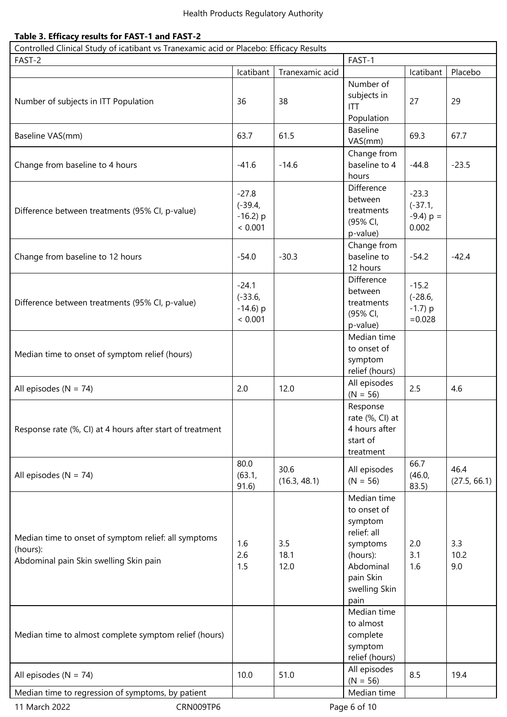# **Table 3. Efficacy results for FAST-1 and FAST-2**

| Controlled Clinical Study of icatibant vs Tranexamic acid or Placebo: Efficacy Results                     |                                                |                      |                                                                                                                                 |                                                 |                      |  |
|------------------------------------------------------------------------------------------------------------|------------------------------------------------|----------------------|---------------------------------------------------------------------------------------------------------------------------------|-------------------------------------------------|----------------------|--|
| FAST-2                                                                                                     |                                                |                      | FAST-1                                                                                                                          |                                                 |                      |  |
|                                                                                                            | Icatibant                                      | Tranexamic acid      |                                                                                                                                 | Icatibant                                       | Placebo              |  |
| Number of subjects in ITT Population                                                                       | 36                                             | 38                   | Number of<br>subjects in<br><b>ITT</b><br>Population                                                                            | 27                                              | 29                   |  |
| Baseline VAS(mm)                                                                                           | 63.7                                           | 61.5                 | <b>Baseline</b><br>VAS(mm)                                                                                                      | 69.3                                            | 67.7                 |  |
| Change from baseline to 4 hours                                                                            | $-41.6$                                        | $-14.6$              | Change from<br>baseline to 4<br>hours                                                                                           | $-44.8$                                         | $-23.5$              |  |
| Difference between treatments (95% CI, p-value)                                                            | $-27.8$<br>$(-39.4,$<br>$-16.2$ ) p<br>< 0.001 |                      | Difference<br>between<br>treatments<br>(95% CI,<br>p-value)                                                                     | $-23.3$<br>$(-37.1,$<br>$-9.4$ ) p =<br>0.002   |                      |  |
| Change from baseline to 12 hours                                                                           | $-54.0$                                        | $-30.3$              | Change from<br>baseline to<br>12 hours                                                                                          | $-54.2$                                         | $-42.4$              |  |
| Difference between treatments (95% CI, p-value)                                                            | $-24.1$<br>$(-33.6,$<br>$-14.6$ ) p<br>< 0.001 |                      | Difference<br>between<br>treatments<br>(95% CI,<br>p-value)                                                                     | $-15.2$<br>$(-28.6,$<br>$-1.7$ ) p<br>$= 0.028$ |                      |  |
| Median time to onset of symptom relief (hours)                                                             |                                                |                      | Median time<br>to onset of<br>symptom<br>relief (hours)                                                                         |                                                 |                      |  |
| All episodes ( $N = 74$ )                                                                                  | 2.0                                            | 12.0                 | All episodes<br>$(N = 56)$                                                                                                      | 2.5                                             | 4.6                  |  |
| Response rate (%, CI) at 4 hours after start of treatment                                                  |                                                |                      | Response<br>rate (%, CI) at<br>4 hours after<br>start of<br>treatment                                                           |                                                 |                      |  |
| All episodes ( $N = 74$ )                                                                                  | 80.0<br>(63.1,<br>91.6)                        | 30.6<br>(16.3, 48.1) | All episodes<br>$(N = 56)$                                                                                                      | 66.7<br>(46.0,<br>83.5)                         | 46.4<br>(27.5, 66.1) |  |
| Median time to onset of symptom relief: all symptoms<br>(hours):<br>Abdominal pain Skin swelling Skin pain | 1.6<br>2.6<br>1.5                              | 3.5<br>18.1<br>12.0  | Median time<br>to onset of<br>symptom<br>relief: all<br>symptoms<br>(hours):<br>Abdominal<br>pain Skin<br>swelling Skin<br>pain | 2.0<br>3.1<br>1.6                               | 3.3<br>10.2<br>9.0   |  |
| Median time to almost complete symptom relief (hours)                                                      |                                                |                      | Median time<br>to almost<br>complete<br>symptom<br>relief (hours)                                                               |                                                 |                      |  |
| All episodes ( $N = 74$ )                                                                                  | 10.0                                           | 51.0                 | All episodes<br>$(N = 56)$                                                                                                      | 8.5                                             | 19.4                 |  |
| Median time to regression of symptoms, by patient                                                          |                                                |                      | Median time                                                                                                                     |                                                 |                      |  |
| 11 March 2022<br>CRN009TP6<br>Page 6 of 10                                                                 |                                                |                      |                                                                                                                                 |                                                 |                      |  |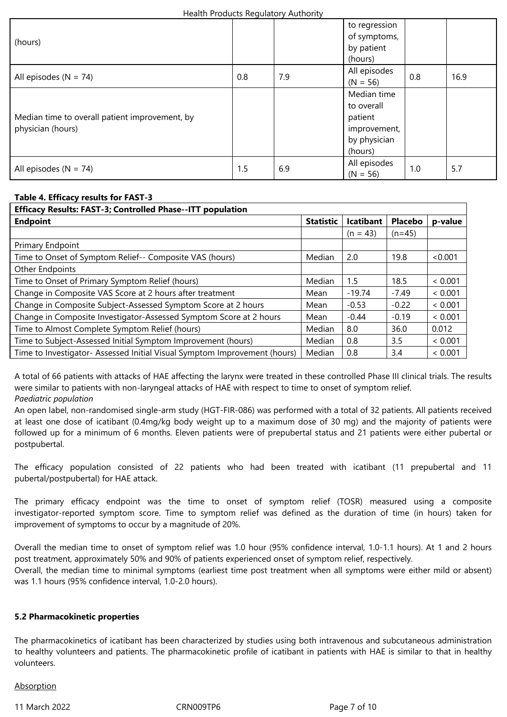| (hours)                                                             |     |     | to regression<br>of symptoms,<br>by patient<br>(hours)                          |     |      |
|---------------------------------------------------------------------|-----|-----|---------------------------------------------------------------------------------|-----|------|
| All episodes $(N = 74)$                                             | 0.8 | 7.9 | All episodes<br>$(N = 56)$                                                      | 0.8 | 16.9 |
| Median time to overall patient improvement, by<br>physician (hours) |     |     | Median time<br>to overall<br>patient<br>improvement,<br>by physician<br>(hours) |     |      |
| All episodes ( $N = 74$ )                                           | 1.5 | 6.9 | All episodes<br>$(N = 56)$                                                      | 1.0 | 5.7  |

## **Table 4. Efficacy results for FAST-3**

| <b>Efficacy Results: FAST-3; Controlled Phase--ITT population</b>         |                  |                  |                |         |  |
|---------------------------------------------------------------------------|------------------|------------------|----------------|---------|--|
| <b>Endpoint</b>                                                           | <b>Statistic</b> | <b>Icatibant</b> | <b>Placebo</b> | p-value |  |
|                                                                           |                  | $(n = 43)$       | $(n=45)$       |         |  |
| Primary Endpoint                                                          |                  |                  |                |         |  |
| Time to Onset of Symptom Relief-- Composite VAS (hours)                   | Median           | 2.0              | 19.8           | < 0.001 |  |
| Other Endpoints                                                           |                  |                  |                |         |  |
| Time to Onset of Primary Symptom Relief (hours)                           | Median           | 1.5              | 18.5           | < 0.001 |  |
| Change in Composite VAS Score at 2 hours after treatment                  | Mean             | $-19.74$         | $-7.49$        | < 0.001 |  |
| Change in Composite Subject-Assessed Symptom Score at 2 hours             | Mean             | $-0.53$          | $-0.22$        | < 0.001 |  |
| Change in Composite Investigator-Assessed Symptom Score at 2 hours        | Mean             | $-0.44$          | $-0.19$        | < 0.001 |  |
| Time to Almost Complete Symptom Relief (hours)                            | Median           | 8.0              | 36.0           | 0.012   |  |
| Time to Subject-Assessed Initial Symptom Improvement (hours)              | Median           | 0.8              | 3.5            | < 0.001 |  |
| Time to Investigator- Assessed Initial Visual Symptom Improvement (hours) | Median           | 0.8              | 3.4            | < 0.001 |  |

A total of 66 patients with attacks of HAE affecting the larynx were treated in these controlled Phase III clinical trials. The results were similar to patients with non-laryngeal attacks of HAE with respect to time to onset of symptom relief. *Paediatric population*

An open label, non-randomised single-arm study (HGT-FIR-086) was performed with a total of 32 patients. All patients received at least one dose of icatibant (0.4mg/kg body weight up to a maximum dose of 30 mg) and the majority of patients were followed up for a minimum of 6 months. Eleven patients were of prepubertal status and 21 patients were either pubertal or postpubertal.

The efficacy population consisted of 22 patients who had been treated with icatibant (11 prepubertal and 11 pubertal/postpubertal) for HAE attack.

The primary efficacy endpoint was the time to onset of symptom relief (TOSR) measured using a composite investigator-reported symptom score. Time to symptom relief was defined as the duration of time (in hours) taken for improvement of symptoms to occur by a magnitude of 20%.

Overall the median time to onset of symptom relief was 1.0 hour (95% confidence interval, 1.0-1.1 hours). At 1 and 2 hours post treatment, approximately 50% and 90% of patients experienced onset of symptom relief, respectively. Overall, the median time to minimal symptoms (earliest time post treatment when all symptoms were either mild or absent) was 1.1 hours (95% confidence interval, 1.0-2.0 hours).

## **5.2 Pharmacokinetic properties**

The pharmacokinetics of icatibant has been characterized by studies using both intravenous and subcutaneous administration to healthy volunteers and patients. The pharmacokinetic profile of icatibant in patients with HAE is similar to that in healthy volunteers.

#### **Absorption**

11 March 2022 CRN009TP6 Page 7 of 10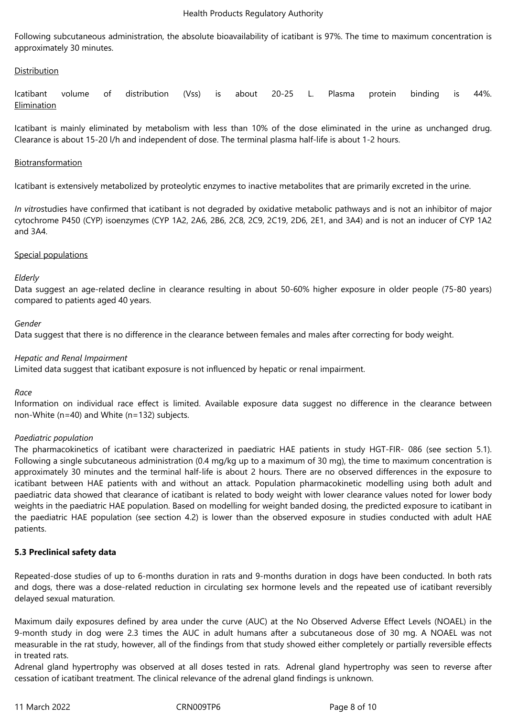Following subcutaneous administration, the absolute bioavailability of icatibant is 97%. The time to maximum concentration is approximately 30 minutes.

## Distribution

Icatibant volume of distribution (Vss) is about 20-25 L. Plasma protein binding is 44%. Elimination

Icatibant is mainly eliminated by metabolism with less than 10% of the dose eliminated in the urine as unchanged drug. Clearance is about 15-20 l/h and independent of dose. The terminal plasma half-life is about 1-2 hours.

#### Biotransformation

Icatibant is extensively metabolized by proteolytic enzymes to inactive metabolites that are primarily excreted in the urine.

*In vitro*studies have confirmed that icatibant is not degraded by oxidative metabolic pathways and is not an inhibitor of major cytochrome P450 (CYP) isoenzymes (CYP 1A2, 2A6, 2B6, 2C8, 2C9, 2C19, 2D6, 2E1, and 3A4) and is not an inducer of CYP 1A2 and 3A4.

#### Special populations

#### *Elderly*

Data suggest an age-related decline in clearance resulting in about 50-60% higher exposure in older people (75-80 years) compared to patients aged 40 years.

#### *Gender*

Data suggest that there is no difference in the clearance between females and males after correcting for body weight.

#### *Hepatic and Renal Impairment*

Limited data suggest that icatibant exposure is not influenced by hepatic or renal impairment.

## *Race*

Information on individual race effect is limited. Available exposure data suggest no difference in the clearance between non-White (n=40) and White (n=132) subjects.

#### *Paediatric population*

The pharmacokinetics of icatibant were characterized in paediatric HAE patients in study HGT-FIR- 086 (see section 5.1). Following a single subcutaneous administration (0.4 mg/kg up to a maximum of 30 mg), the time to maximum concentration is approximately 30 minutes and the terminal half-life is about 2 hours. There are no observed differences in the exposure to icatibant between HAE patients with and without an attack. Population pharmacokinetic modelling using both adult and paediatric data showed that clearance of icatibant is related to body weight with lower clearance values noted for lower body weights in the paediatric HAE population. Based on modelling for weight banded dosing, the predicted exposure to icatibant in the paediatric HAE population (see section 4.2) is lower than the observed exposure in studies conducted with adult HAE patients.

## **5.3 Preclinical safety data**

Repeated-dose studies of up to 6-months duration in rats and 9-months duration in dogs have been conducted. In both rats and dogs, there was a dose-related reduction in circulating sex hormone levels and the repeated use of icatibant reversibly delayed sexual maturation.

Maximum daily exposures defined by area under the curve (AUC) at the No Observed Adverse Effect Levels (NOAEL) in the 9-month study in dog were 2.3 times the AUC in adult humans after a subcutaneous dose of 30 mg. A NOAEL was not measurable in the rat study, however, all of the findings from that study showed either completely or partially reversible effects in treated rats.

Adrenal gland hypertrophy was observed at all doses tested in rats. Adrenal gland hypertrophy was seen to reverse after cessation of icatibant treatment. The clinical relevance of the adrenal gland findings is unknown.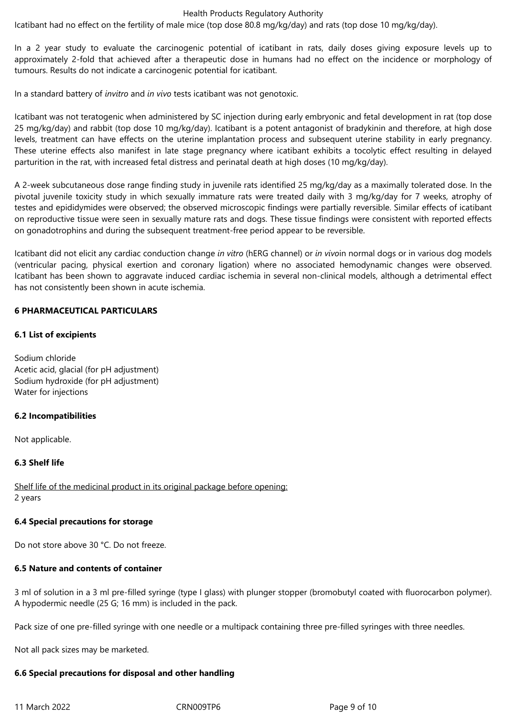Icatibant had no effect on the fertility of male mice (top dose 80.8 mg/kg/day) and rats (top dose 10 mg/kg/day).

In a 2 year study to evaluate the carcinogenic potential of icatibant in rats, daily doses giving exposure levels up to approximately 2-fold that achieved after a therapeutic dose in humans had no effect on the incidence or morphology of tumours. Results do not indicate a carcinogenic potential for icatibant.

In a standard battery of *invitro* and *in vivo* tests icatibant was not genotoxic.

Icatibant was not teratogenic when administered by SC injection during early embryonic and fetal development in rat (top dose 25 mg/kg/day) and rabbit (top dose 10 mg/kg/day). Icatibant is a potent antagonist of bradykinin and therefore, at high dose levels, treatment can have effects on the uterine implantation process and subsequent uterine stability in early pregnancy. These uterine effects also manifest in late stage pregnancy where icatibant exhibits a tocolytic effect resulting in delayed parturition in the rat, with increased fetal distress and perinatal death at high doses (10 mg/kg/day).

A 2-week subcutaneous dose range finding study in juvenile rats identified 25 mg/kg/day as a maximally tolerated dose. In the pivotal juvenile toxicity study in which sexually immature rats were treated daily with 3 mg/kg/day for 7 weeks, atrophy of testes and epididymides were observed; the observed microscopic findings were partially reversible. Similar effects of icatibant on reproductive tissue were seen in sexually mature rats and dogs. These tissue findings were consistent with reported effects on gonadotrophins and during the subsequent treatment-free period appear to be reversible.

Icatibant did not elicit any cardiac conduction change *in vitro* (hERG channel) or *in vivo*in normal dogs or in various dog models (ventricular pacing, physical exertion and coronary ligation) where no associated hemodynamic changes were observed. Icatibant has been shown to aggravate induced cardiac ischemia in several non-clinical models, although a detrimental effect has not consistently been shown in acute ischemia.

#### **6 PHARMACEUTICAL PARTICULARS**

#### **6.1 List of excipients**

Sodium chloride Acetic acid, glacial (for pH adjustment) Sodium hydroxide (for pH adjustment) Water for injections

#### **6.2 Incompatibilities**

Not applicable.

#### **6.3 Shelf life**

Shelf life of the medicinal product in its original package before opening: 2 years

#### **6.4 Special precautions for storage**

Do not store above 30 °C. Do not freeze.

#### **6.5 Nature and contents of container**

3 ml of solution in a 3 ml pre-filled syringe (type I glass) with plunger stopper (bromobutyl coated with fluorocarbon polymer). A hypodermic needle (25 G; 16 mm) is included in the pack.

Pack size of one pre-filled syringe with one needle or a multipack containing three pre-filled syringes with three needles.

Not all pack sizes may be marketed.

#### **6.6 Special precautions for disposal and other handling**

11 March 2022 CRN009TP6 Page 9 of 10